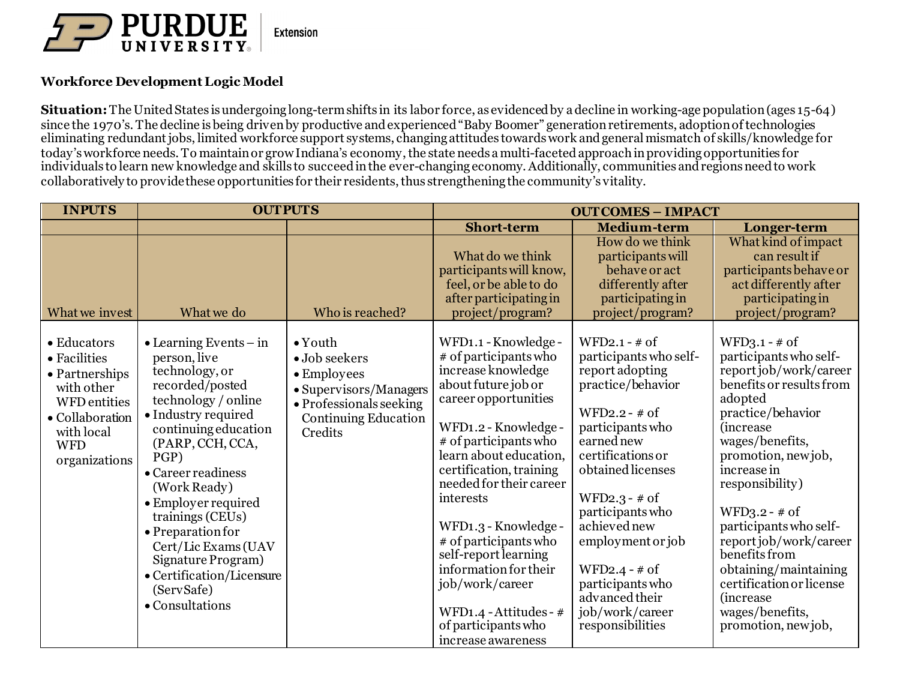

## **Workforce Development Logic Model**

**Situation:**The United States is undergoing long-term shifts in its labor force, as evidenced by a decline in working-age population (ages 15-64) since the 1970's. The decline is being driven by productive and experienced "Baby Boomer" generation retirements, adoptionof technologies eliminating redundant jobs, limited workforce support systems, changing attitudes towards work and general mismatch of skills/knowledge for today's workforce needs. To maintain or grow Indiana's economy, the state needs a multi-faceted approach in providing opportunities for individuals to learn new knowledge and skills to succeed in the ever-changing economy. Additionally, communities and regions need to work collaboratively to provide these opportunities for their residents, thus strengthening the community's vitality.

| <b>INPUTS</b>                                                                                                                               | <b>OUTPUTS</b>                                                                                                                                                                                                                                                                                                                                                                                                         |                                                                                                                                                        | <b>OUTCOMES - IMPACT</b>                                                                                                                                                                                                                                                                                                                                                                                                                                     |                                                                                                                                                                                                                                                                                                                                                              |                                                                                                                                                                                                                                                                                                                                                                                                                                             |
|---------------------------------------------------------------------------------------------------------------------------------------------|------------------------------------------------------------------------------------------------------------------------------------------------------------------------------------------------------------------------------------------------------------------------------------------------------------------------------------------------------------------------------------------------------------------------|--------------------------------------------------------------------------------------------------------------------------------------------------------|--------------------------------------------------------------------------------------------------------------------------------------------------------------------------------------------------------------------------------------------------------------------------------------------------------------------------------------------------------------------------------------------------------------------------------------------------------------|--------------------------------------------------------------------------------------------------------------------------------------------------------------------------------------------------------------------------------------------------------------------------------------------------------------------------------------------------------------|---------------------------------------------------------------------------------------------------------------------------------------------------------------------------------------------------------------------------------------------------------------------------------------------------------------------------------------------------------------------------------------------------------------------------------------------|
|                                                                                                                                             |                                                                                                                                                                                                                                                                                                                                                                                                                        |                                                                                                                                                        | <b>Short-term</b>                                                                                                                                                                                                                                                                                                                                                                                                                                            | <b>Medium-term</b>                                                                                                                                                                                                                                                                                                                                           | Longer-term                                                                                                                                                                                                                                                                                                                                                                                                                                 |
| What we invest                                                                                                                              | What we do                                                                                                                                                                                                                                                                                                                                                                                                             | Who is reached?                                                                                                                                        | What do we think<br>participants will know,<br>feel, or be able to do<br>after participating in<br>project/program?                                                                                                                                                                                                                                                                                                                                          | How do we think<br>participants will<br>behave or act<br>differently after<br>participating in<br>project/program?                                                                                                                                                                                                                                           | What kind of impact<br>can result if<br>participants behave or<br>act differently after<br>participating in<br>project/program?                                                                                                                                                                                                                                                                                                             |
| • Educators<br>• Facilities<br>• Partnerships<br>with other<br>WFD entities<br>• Collaboration<br>with local<br><b>WFD</b><br>organizations | $\bullet$ Learning Events – in<br>person, live<br>technology, or<br>recorded/posted<br>technology / online<br>• Industry required<br>continuing education<br>(PARP, CCH, CCA,<br>PGP)<br>• Career readiness<br>(Work Ready)<br>$\bullet$ Employer required<br>trainings (CEUs)<br>• Preparation for<br>Cert/Lic Exams (UAV<br>Signature Program)<br>$\bullet$ Certification/Licensure<br>(ServSafe)<br>• Consultations | $\bullet$ Youth<br>$\bullet$ Job seekers<br>• Employees<br>• Supervisors/Managers<br>• Professionals seeking<br><b>Continuing Education</b><br>Credits | WFD1.1 - Knowledge -<br># of participants who<br>increase knowledge<br>about future job or<br>career opportunities<br>WFD1.2 - Knowledge -<br># of participants who<br>learn about education,<br>certification, training<br>needed for their career<br>interests<br>WFD1.3 - Knowledge -<br># of participants who<br>self-report learning<br>information for their<br>job/work/career<br>WFD1.4 - Attitudes - #<br>of participants who<br>increase awareness | $WFD2.1 - # of$<br>participants who self-<br>report adopting<br>practice/behavior<br>WFD2.2 - $#$ of<br>participants who<br>earned new<br>certifications or<br>obtained licenses<br>$WFD2.3 - # of$<br>participants who<br>achieved new<br>employment or job<br>WFD2.4 - $#$ of<br>participants who<br>advanced their<br>job/work/career<br>responsibilities | $WFD3.1 - # of$<br>participants who self-<br>report job/work/career<br>benefits or results from<br>adopted<br>practice/behavior<br><i>(increase)</i><br>wages/benefits,<br>promotion, newjob,<br>increase in<br>responsibility)<br>$WFD3.2 - # of$<br>participants who self-<br>report job/work/career<br>benefits from<br>obtaining/maintaining<br>certification or license<br><i>(increase)</i><br>wages/benefits,<br>promotion, new job, |